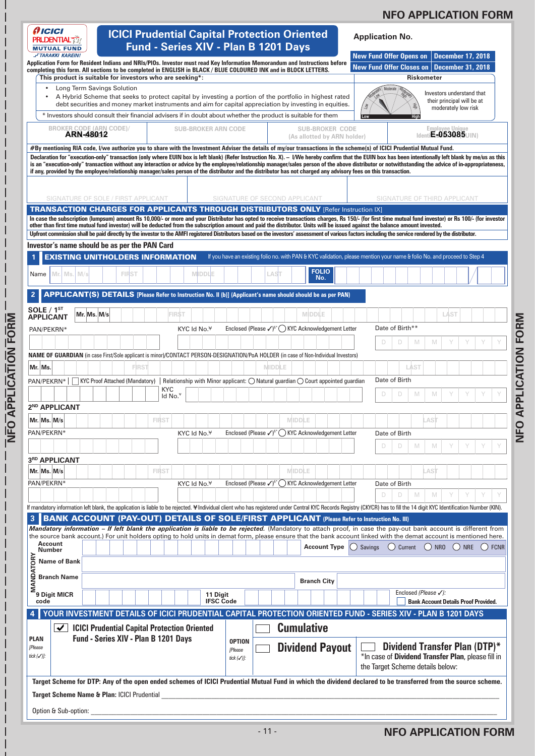| <i><b>AICICI</b></i><br><b>PRUDENTIAL</b><br><b>MUTUAL FUND</b>                                                                                                                                                                                                                                                                                                                                                                                                                                                                                                                                                                                                                                 |                                      |              |              |                          |                         | <b>ICICI Prudential Capital Protection Oriented</b><br>Fund - Series XIV - Plan B 1201 Days                             |               |                   |                                                                  | <b>Application No.</b>          |   |               |                                                                                                                         |                   |   |                 |                                                         |  |
|-------------------------------------------------------------------------------------------------------------------------------------------------------------------------------------------------------------------------------------------------------------------------------------------------------------------------------------------------------------------------------------------------------------------------------------------------------------------------------------------------------------------------------------------------------------------------------------------------------------------------------------------------------------------------------------------------|--------------------------------------|--------------|--------------|--------------------------|-------------------------|-------------------------------------------------------------------------------------------------------------------------|---------------|-------------------|------------------------------------------------------------------|---------------------------------|---|---------------|-------------------------------------------------------------------------------------------------------------------------|-------------------|---|-----------------|---------------------------------------------------------|--|
| <b>J-TARAKKI KAREIN!</b><br>Application Form for Resident Indians and NRIs/PIOs. Investor must read Key Information Memorandum and Instructions before                                                                                                                                                                                                                                                                                                                                                                                                                                                                                                                                          |                                      |              |              |                          |                         |                                                                                                                         |               |                   |                                                                  | <b>New Fund Offer Opens on</b>  |   |               |                                                                                                                         |                   |   |                 | <b>December 17, 2018</b>                                |  |
| completing this form. All sections to be completed in ENGLISH in BLACK / BLUE COLOURED INK and in BLOCK LETTERS.<br>This product is suitable for investors who are seeking*:                                                                                                                                                                                                                                                                                                                                                                                                                                                                                                                    |                                      |              |              |                          |                         |                                                                                                                         |               |                   |                                                                  | <b>New Fund Offer Closes on</b> |   |               |                                                                                                                         | <b>Riskometer</b> |   |                 | <b>December 31, 2018</b>                                |  |
| Long Term Savings Solution<br>$\bullet$                                                                                                                                                                                                                                                                                                                                                                                                                                                                                                                                                                                                                                                         |                                      |              |              |                          |                         |                                                                                                                         |               |                   |                                                                  |                                 |   |               |                                                                                                                         |                   |   |                 |                                                         |  |
| A Hybrid Scheme that seeks to protect capital by investing a portion of the portfolio in highest rated<br>$\bullet$<br>debt securities and money market instruments and aim for capital appreciation by investing in equities.                                                                                                                                                                                                                                                                                                                                                                                                                                                                  |                                      |              |              |                          |                         |                                                                                                                         |               |                   |                                                                  |                                 |   |               |                                                                                                                         |                   |   |                 | Investors understand that<br>their principal will be at |  |
| * Investors should consult their financial advisers if in doubt about whether the product is suitable for them                                                                                                                                                                                                                                                                                                                                                                                                                                                                                                                                                                                  |                                      |              |              |                          |                         |                                                                                                                         |               |                   |                                                                  | Š<br>Low                        |   |               | 鸢                                                                                                                       |                   |   |                 | moderately low risk                                     |  |
| <b>BROKER CODE (ARN CODE)/</b><br>ARN-48012                                                                                                                                                                                                                                                                                                                                                                                                                                                                                                                                                                                                                                                     |                                      |              |              |                          |                         | <b>SUB-BROKER ARN CODE</b>                                                                                              |               |                   | <b>SUB-BROKER CODE</b><br>(As allotted by ARN holder)            |                                 |   |               |                                                                                                                         |                   |   | Emplovee Unique | <b>IdentiE-053085UIN)</b>                               |  |
| #By mentioning RIA code, I/we authorize you to share with the Investment Adviser the details of my/our transactions in the scheme(s) of ICICI Prudential Mutual Fund.                                                                                                                                                                                                                                                                                                                                                                                                                                                                                                                           |                                      |              |              |                          |                         |                                                                                                                         |               |                   |                                                                  |                                 |   |               |                                                                                                                         |                   |   |                 |                                                         |  |
| Declaration for "execution-only" transaction (only where EUIN box is left blank) (Refer Instruction No. X). – I/We hereby confirm that the EUIN box has been intentionally left blank by me/us as this<br>is an "execution-only" transaction without any interaction or advice by the employee/relationship manager/sales person of the above distributor or notwithstanding the advice of in-appropriateness,<br>if any, provided by the employee/relationship manager/sales person of the distributor and the distributor has not charged any advisory fees on this transaction.<br>SIGNATURE OF SOLE / FIRST APPLICANT                                                                       |                                      |              |              |                          |                         | SIGNATURE OF SECOND APPLICANT                                                                                           |               |                   |                                                                  |                                 |   |               | SIGNATURE OF THIRD APPLICANT                                                                                            |                   |   |                 |                                                         |  |
| <b>TRANSACTION CHARGES FOR APPLICANTS THROUGH DISTRIBUTORS ONLY [Refer Instruction IX]</b><br>In case the subscription (lumpsum) amount Rs 10,000/- or more and your Distributor has opted to receive transactions charges, Rs 150/- (for first time mutual fund investor) or Rs 100/- (for investor<br>other than first time mutual fund investor) will be deducted from the subscription amount and paid the distributor. Units will be issued against the balance amount invested.<br>Upfront commission shall be paid directly by the investor to the AMFI registered Distributors based on the investors' assessment of various factors including the service rendered by the distributor. |                                      |              |              |                          |                         |                                                                                                                         |               |                   |                                                                  |                                 |   |               |                                                                                                                         |                   |   |                 |                                                         |  |
| Investor's name should be as per the PAN Card<br><b>EXISTING UNITHOLDERS INFORMATION</b>                                                                                                                                                                                                                                                                                                                                                                                                                                                                                                                                                                                                        |                                      |              |              |                          |                         | If you have an existing folio no. with PAN & KYC validation, please mention your name & folio No. and proceed to Step 4 |               |                   |                                                                  |                                 |   |               |                                                                                                                         |                   |   |                 |                                                         |  |
| Mr. Ms. M/s<br>Name                                                                                                                                                                                                                                                                                                                                                                                                                                                                                                                                                                                                                                                                             |                                      | <b>FIRST</b> |              |                          | <b>MIDDLE</b>           |                                                                                                                         | LAST          |                   | <b>FOLIO</b><br>No.                                              |                                 |   |               |                                                                                                                         |                   |   |                 |                                                         |  |
| APPLICANT(S) DETAILS [Please Refer to Instruction No. II (b)] (Applicant's name should should be as per PAN)                                                                                                                                                                                                                                                                                                                                                                                                                                                                                                                                                                                    |                                      |              |              |                          |                         |                                                                                                                         |               |                   |                                                                  |                                 |   |               |                                                                                                                         |                   |   |                 |                                                         |  |
| SOLE / $1ST$<br><b>APPLICANT</b>                                                                                                                                                                                                                                                                                                                                                                                                                                                                                                                                                                                                                                                                | Mr. Ms. M/s                          |              |              | <b>FIRST</b>             |                         |                                                                                                                         |               | <b>MIDDLE</b>     |                                                                  |                                 |   |               |                                                                                                                         |                   |   | <b>LAST</b>     |                                                         |  |
| PAN/PEKRN*                                                                                                                                                                                                                                                                                                                                                                                                                                                                                                                                                                                                                                                                                      |                                      |              |              |                          | KYC Id No. <sup>¥</sup> |                                                                                                                         |               |                   | Enclosed (Please √) <sup>§*</sup> ( ) KYC Acknowledgement Letter |                                 |   |               | Date of Birth**                                                                                                         |                   |   |                 |                                                         |  |
|                                                                                                                                                                                                                                                                                                                                                                                                                                                                                                                                                                                                                                                                                                 |                                      |              |              |                          |                         |                                                                                                                         |               |                   |                                                                  |                                 | D |               | D                                                                                                                       | M                 | M |                 |                                                         |  |
| NAME OF GUARDIAN (in case First/Sole applicant is minor)/CONTACT PERSON-DESIGNATION/PoA HOLDER (in case of Non-Individual Investors)                                                                                                                                                                                                                                                                                                                                                                                                                                                                                                                                                            |                                      |              |              |                          |                         |                                                                                                                         |               |                   |                                                                  |                                 |   |               |                                                                                                                         |                   |   |                 |                                                         |  |
| Mr. Ms.                                                                                                                                                                                                                                                                                                                                                                                                                                                                                                                                                                                                                                                                                         |                                      |              | <b>FIRST</b> |                          |                         |                                                                                                                         | <b>MIDDLE</b> |                   |                                                                  |                                 |   |               | LAST                                                                                                                    |                   |   |                 |                                                         |  |
| PAN/PEKRN*                                                                                                                                                                                                                                                                                                                                                                                                                                                                                                                                                                                                                                                                                      | KYC Proof Attached (Mandatory)       |              |              |                          |                         | Relationship with Minor applicant: $\bigcirc$ Natural guardian $\bigcirc$ Court appointed guardian                      |               |                   |                                                                  |                                 |   | Date of Birth |                                                                                                                         |                   |   |                 |                                                         |  |
|                                                                                                                                                                                                                                                                                                                                                                                                                                                                                                                                                                                                                                                                                                 |                                      |              |              | <b>KYC</b><br>Id No. $4$ |                         |                                                                                                                         |               |                   |                                                                  |                                 | D |               | D                                                                                                                       | M                 | M |                 |                                                         |  |
| 2 <sup>ND</sup> APPLICANT                                                                                                                                                                                                                                                                                                                                                                                                                                                                                                                                                                                                                                                                       |                                      |              |              |                          |                         |                                                                                                                         |               |                   |                                                                  |                                 |   |               |                                                                                                                         |                   |   |                 |                                                         |  |
| Mr. Ms. M/s                                                                                                                                                                                                                                                                                                                                                                                                                                                                                                                                                                                                                                                                                     |                                      |              |              | <b>FIRST</b>             |                         |                                                                                                                         |               | <b>MIDDLE</b>     |                                                                  |                                 |   |               |                                                                                                                         | .ASİT             |   |                 |                                                         |  |
| PAN/PEKRN*                                                                                                                                                                                                                                                                                                                                                                                                                                                                                                                                                                                                                                                                                      |                                      |              |              |                          | KYC Id No. <sup>¥</sup> |                                                                                                                         |               |                   | Enclosed (Please √) <sup>§*</sup> ○ KYC Acknowledgement Letter   |                                 |   | Date of Birth |                                                                                                                         |                   |   |                 |                                                         |  |
|                                                                                                                                                                                                                                                                                                                                                                                                                                                                                                                                                                                                                                                                                                 |                                      |              |              |                          |                         |                                                                                                                         |               |                   |                                                                  |                                 | D |               | D                                                                                                                       | M                 | M |                 |                                                         |  |
| 3RD APPLICANT                                                                                                                                                                                                                                                                                                                                                                                                                                                                                                                                                                                                                                                                                   |                                      |              |              |                          |                         |                                                                                                                         |               |                   |                                                                  |                                 |   |               |                                                                                                                         |                   |   |                 |                                                         |  |
| Mr. Ms. M/s                                                                                                                                                                                                                                                                                                                                                                                                                                                                                                                                                                                                                                                                                     |                                      |              |              | <b>FIRST</b>             |                         |                                                                                                                         |               | <b>MIDDLE</b>     |                                                                  |                                 |   |               |                                                                                                                         | .AS1              |   |                 |                                                         |  |
| PAN/PEKRN*                                                                                                                                                                                                                                                                                                                                                                                                                                                                                                                                                                                                                                                                                      |                                      |              |              |                          | KYC Id No. <sup>¥</sup> |                                                                                                                         |               |                   | Enclosed (Please √) <sup>§*</sup> ( ) KYC Acknowledgement Letter |                                 |   | Date of Birth |                                                                                                                         |                   |   |                 |                                                         |  |
|                                                                                                                                                                                                                                                                                                                                                                                                                                                                                                                                                                                                                                                                                                 |                                      |              |              |                          |                         |                                                                                                                         |               |                   |                                                                  |                                 | D |               | D                                                                                                                       | M                 | M |                 |                                                         |  |
| If mandatory information left blank, the application is liable to be rejected. ¥Individual client who has registered under Central KYC Records Registry (CKYCR) has to fill the 14 digit KYC Identification Number (KIN).                                                                                                                                                                                                                                                                                                                                                                                                                                                                       |                                      |              |              |                          |                         |                                                                                                                         |               |                   |                                                                  |                                 |   |               |                                                                                                                         |                   |   |                 |                                                         |  |
| BANK ACCOUNT (PAY-OUT) DETAILS OF SOLE/FIRST APPLICANT (Please Refer to Instruction No. III)<br>3<br>Mandatory information - If left blank the application is liable to be rejected. (Mandatory to attach proof, in case the pay-out bank account is different from                                                                                                                                                                                                                                                                                                                                                                                                                             |                                      |              |              |                          |                         |                                                                                                                         |               |                   |                                                                  |                                 |   |               |                                                                                                                         |                   |   |                 |                                                         |  |
| the source bank account.) For unit holders opting to hold units in demat form, please ensure that the bank account linked with the demat account is mentioned here.<br>Account                                                                                                                                                                                                                                                                                                                                                                                                                                                                                                                  |                                      |              |              |                          |                         |                                                                                                                         |               |                   |                                                                  |                                 |   |               |                                                                                                                         |                   |   |                 |                                                         |  |
| <b>Number</b>                                                                                                                                                                                                                                                                                                                                                                                                                                                                                                                                                                                                                                                                                   |                                      |              |              |                          |                         |                                                                                                                         |               |                   | <b>Account Type</b>                                              | $\bigcirc$ Savings              |   |               | ○ Current ○ NRO ○ NRE ○ FCNR                                                                                            |                   |   |                 |                                                         |  |
| <b>Name of Bank</b>                                                                                                                                                                                                                                                                                                                                                                                                                                                                                                                                                                                                                                                                             |                                      |              |              |                          |                         |                                                                                                                         |               |                   |                                                                  |                                 |   |               |                                                                                                                         |                   |   |                 |                                                         |  |
| <b>MANDATORY</b><br><b>Branch Name</b>                                                                                                                                                                                                                                                                                                                                                                                                                                                                                                                                                                                                                                                          |                                      |              |              |                          |                         |                                                                                                                         |               |                   | <b>Branch City</b>                                               |                                 |   |               |                                                                                                                         |                   |   |                 |                                                         |  |
| 9 Digit MICR                                                                                                                                                                                                                                                                                                                                                                                                                                                                                                                                                                                                                                                                                    |                                      |              |              |                          | 11 Digit                |                                                                                                                         |               |                   |                                                                  |                                 |   |               | Enclosed (Please √):                                                                                                    |                   |   |                 |                                                         |  |
| code                                                                                                                                                                                                                                                                                                                                                                                                                                                                                                                                                                                                                                                                                            |                                      |              |              |                          |                         | <b>IFSC Code</b>                                                                                                        |               |                   |                                                                  |                                 |   |               |                                                                                                                         |                   |   |                 | <b>Bank Account Details Proof Provided.</b>             |  |
| YOUR INVESTMENT DETAILS OF ICICI PRUDENTIAL CAPITAL PROTECTION ORIENTED FUND - SERIES XIV - PLAN B 1201 DAYS                                                                                                                                                                                                                                                                                                                                                                                                                                                                                                                                                                                    |                                      |              |              |                          |                         |                                                                                                                         |               |                   |                                                                  |                                 |   |               |                                                                                                                         |                   |   |                 |                                                         |  |
| ↓ ICICI Prudential Capital Protection Oriented                                                                                                                                                                                                                                                                                                                                                                                                                                                                                                                                                                                                                                                  |                                      |              |              |                          |                         |                                                                                                                         |               | <b>Cumulative</b> |                                                                  |                                 |   |               |                                                                                                                         |                   |   |                 |                                                         |  |
| <b>PLAN</b><br>[Please<br>tick (√)]:                                                                                                                                                                                                                                                                                                                                                                                                                                                                                                                                                                                                                                                            | Fund - Series XIV - Plan B 1201 Days |              |              |                          |                         | <b>OPTION</b><br>[Please<br>tick $(\checkmark)$ :                                                                       |               |                   | <b>Dividend Payout</b>                                           |                                 |   |               | Dividend Transfer Plan (DTP)*<br>*In case of Dividend Transfer Plan, please fill in<br>the Target Scheme details below: |                   |   |                 |                                                         |  |
| Target Scheme for DTP: Any of the open ended schemes of ICICI Prudential Mutual Fund in which the dividend declared to be transferred from the source scheme.                                                                                                                                                                                                                                                                                                                                                                                                                                                                                                                                   |                                      |              |              |                          |                         |                                                                                                                         |               |                   |                                                                  |                                 |   |               |                                                                                                                         |                   |   |                 |                                                         |  |
| Target Scheme Name & Plan: ICICI Prudential                                                                                                                                                                                                                                                                                                                                                                                                                                                                                                                                                                                                                                                     |                                      |              |              |                          |                         |                                                                                                                         |               |                   |                                                                  |                                 |   |               |                                                                                                                         |                   |   |                 |                                                         |  |
| Option & Sub-option:                                                                                                                                                                                                                                                                                                                                                                                                                                                                                                                                                                                                                                                                            |                                      |              |              |                          |                         |                                                                                                                         |               |                   |                                                                  |                                 |   |               |                                                                                                                         |                   |   |                 |                                                         |  |
|                                                                                                                                                                                                                                                                                                                                                                                                                                                                                                                                                                                                                                                                                                 |                                      |              |              |                          |                         |                                                                                                                         |               |                   |                                                                  |                                 |   |               |                                                                                                                         |                   |   |                 |                                                         |  |

**NFO APPLICATION FORM**

 $\overline{\phantom{a}}$  $\overline{\phantom{a}}$  $\overline{\phantom{a}}$  $\overline{\phantom{a}}$  $\overline{\phantom{a}}$ 

 $\overline{\phantom{a}}$ 

**NFO ΑΡΡΙΙΣΑΤΙΟΝ FORM -**

I

 $\overline{\phantom{a}}$ 

 $\overline{\phantom{a}}$  $\overline{\phantom{a}}$  $\overline{\phantom{a}}$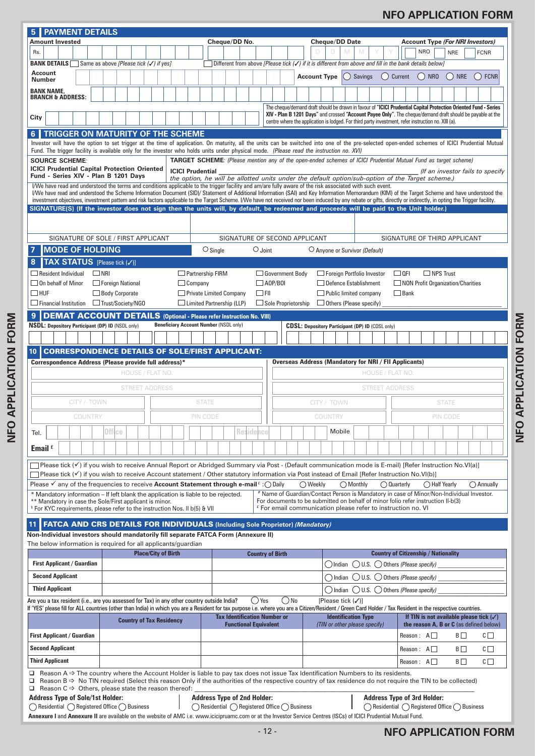| 5   PAYMENT DETAILS                                                                                                                                                                                                                                                                                                                                          |                                     |                                               |                         |                                                 |           |                               |                     |                   |                                                                         |            |                                |  |                                                    |                                                                                                                                                                                                                                                                                                                                       |              |  |                                  |  |  |
|--------------------------------------------------------------------------------------------------------------------------------------------------------------------------------------------------------------------------------------------------------------------------------------------------------------------------------------------------------------|-------------------------------------|-----------------------------------------------|-------------------------|-------------------------------------------------|-----------|-------------------------------|---------------------|-------------------|-------------------------------------------------------------------------|------------|--------------------------------|--|----------------------------------------------------|---------------------------------------------------------------------------------------------------------------------------------------------------------------------------------------------------------------------------------------------------------------------------------------------------------------------------------------|--------------|--|----------------------------------|--|--|
| <b>Amount Invested</b>                                                                                                                                                                                                                                                                                                                                       |                                     |                                               |                         | Cheque/DD No.                                   |           |                               |                     |                   | <b>Cheque/DD Date</b>                                                   |            |                                |  |                                                    | <b>Account Type (For NRI Investors)</b>                                                                                                                                                                                                                                                                                               |              |  |                                  |  |  |
| Rs.                                                                                                                                                                                                                                                                                                                                                          |                                     |                                               |                         |                                                 |           |                               |                     |                   |                                                                         | M          |                                |  |                                                    | <b>NRO</b>                                                                                                                                                                                                                                                                                                                            | <b>NRE</b>   |  | <b>FCNR</b>                      |  |  |
| BANK DETAILS Same as above [Please tick (V) if yes]<br><b>Account</b>                                                                                                                                                                                                                                                                                        |                                     |                                               |                         |                                                 |           |                               |                     |                   |                                                                         |            |                                |  |                                                    | Different from above [Please tick $(\checkmark)$ if it is different from above and fill in the bank details below]                                                                                                                                                                                                                    |              |  |                                  |  |  |
| <b>Number</b>                                                                                                                                                                                                                                                                                                                                                |                                     |                                               |                         |                                                 |           |                               |                     |                   | <b>Account Type</b>                                                     |            | () Savings                     |  | $\bigcirc$ Current                                 | $\bigcirc$ NRO                                                                                                                                                                                                                                                                                                                        | ( ) NRE      |  | $()$ FCNR                        |  |  |
| <b>BANK NAME,</b><br><b>BRANCH &amp; ADDRESS:</b>                                                                                                                                                                                                                                                                                                            |                                     |                                               |                         |                                                 |           |                               |                     |                   |                                                                         |            |                                |  |                                                    |                                                                                                                                                                                                                                                                                                                                       |              |  |                                  |  |  |
| City                                                                                                                                                                                                                                                                                                                                                         |                                     |                                               |                         |                                                 |           |                               |                     |                   |                                                                         |            |                                |  |                                                    | The cheque/demand draft should be drawn in favour of "ICICI Prudential Capital Protection Oriented Fund - Series<br>XIV - Plan B 1201 Days" and crossed "Account Payee Only". The cheque/demand draft should be payable at the<br>centre where the application is lodged. For third party investment, refer instruction no. XIII (a). |              |  |                                  |  |  |
| <b>TRIGGER ON MATURITY OF THE SCHEME</b><br><b>6</b>                                                                                                                                                                                                                                                                                                         |                                     |                                               |                         |                                                 |           |                               |                     |                   |                                                                         |            |                                |  |                                                    |                                                                                                                                                                                                                                                                                                                                       |              |  |                                  |  |  |
| Investor will have the option to set trigger at the time of application. On maturity, all the units can be switched into one of the pre-selected open-ended schemes of ICICI Prudential Mutual                                                                                                                                                               |                                     |                                               |                         |                                                 |           |                               |                     |                   |                                                                         |            |                                |  |                                                    |                                                                                                                                                                                                                                                                                                                                       |              |  |                                  |  |  |
| Fund. The trigger facility is available only for the investor who holds units under physical mode. (Please read the instruction no. XVI)                                                                                                                                                                                                                     |                                     |                                               |                         |                                                 |           |                               |                     |                   |                                                                         |            |                                |  |                                                    |                                                                                                                                                                                                                                                                                                                                       |              |  |                                  |  |  |
| <b>SOURCE SCHEME:</b><br><b>ICICI Prudential Capital Protection Oriented</b>                                                                                                                                                                                                                                                                                 |                                     |                                               |                         |                                                 |           |                               |                     |                   |                                                                         |            |                                |  |                                                    | TARGET SCHEME: (Please mention any of the open-ended schemes of ICICI Prudential Mutual Fund as target scheme)                                                                                                                                                                                                                        |              |  |                                  |  |  |
| Fund - Series XIV - Plan B 1201 Days                                                                                                                                                                                                                                                                                                                         |                                     |                                               | <b>ICICI Prudential</b> |                                                 |           |                               |                     |                   |                                                                         |            |                                |  |                                                    | the option, he will be allotted units under the default option/sub-option of the Target scheme.)                                                                                                                                                                                                                                      |              |  | (If an investor fails to specify |  |  |
| I/We have read and understood the terms and conditions applicable to the trigger facility and am/are fully aware of the risk associated with such event.<br>I/We have read and understood the Scheme Information Document (SID)/ Statement of Additional Information (SAI) and Key Information Memorandum (KIM) of the Target Scheme and have understood the |                                     |                                               |                         |                                                 |           |                               |                     |                   |                                                                         |            |                                |  |                                                    |                                                                                                                                                                                                                                                                                                                                       |              |  |                                  |  |  |
| investment objectives, investment pattern and risk factors applicable to the Target Scheme. I/We have not received nor been induced by any rebate or gifts, directly or indirectly, in opting the Trigger facility.                                                                                                                                          |                                     |                                               |                         |                                                 |           |                               |                     |                   |                                                                         |            |                                |  |                                                    |                                                                                                                                                                                                                                                                                                                                       |              |  |                                  |  |  |
| SIGNATURE(S) (If the investor does not sign then the units will, by default, be redeemed and proceeds will be paid to the Unit holder.)                                                                                                                                                                                                                      |                                     |                                               |                         |                                                 |           |                               |                     |                   |                                                                         |            |                                |  |                                                    |                                                                                                                                                                                                                                                                                                                                       |              |  |                                  |  |  |
|                                                                                                                                                                                                                                                                                                                                                              |                                     |                                               |                         |                                                 |           |                               |                     |                   |                                                                         |            |                                |  |                                                    |                                                                                                                                                                                                                                                                                                                                       |              |  |                                  |  |  |
|                                                                                                                                                                                                                                                                                                                                                              | SIGNATURE OF SOLE / FIRST APPLICANT |                                               |                         |                                                 |           | SIGNATURE OF SECOND APPLICANT |                     |                   |                                                                         |            |                                |  |                                                    | SIGNATURE OF THIRD APPLICANT                                                                                                                                                                                                                                                                                                          |              |  |                                  |  |  |
| <b>MODE OF HOLDING</b>                                                                                                                                                                                                                                                                                                                                       |                                     |                                               |                         | $\bigcirc$ Single                               |           | $\circlearrowright$ Joint     |                     |                   | $\circlearrowright$ Anyone or Survivor (Default)                        |            |                                |  |                                                    |                                                                                                                                                                                                                                                                                                                                       |              |  |                                  |  |  |
| TAX STATUS [Please tick (V)]<br>8                                                                                                                                                                                                                                                                                                                            |                                     |                                               |                         |                                                 |           |                               |                     |                   |                                                                         |            |                                |  |                                                    |                                                                                                                                                                                                                                                                                                                                       |              |  |                                  |  |  |
| $\Box$ Resident Individual                                                                                                                                                                                                                                                                                                                                   | $\Box$ NRI                          |                                               | $\Box$ Partnership FIRM |                                                 |           |                               | □ Government Body   |                   |                                                                         |            | Foreign Portfolio Investor     |  | $\Box$ QFI                                         | $\Box$ NPS Trust                                                                                                                                                                                                                                                                                                                      |              |  |                                  |  |  |
| $\Box$ On behalf of Minor                                                                                                                                                                                                                                                                                                                                    | $\Box$ Foreign National             |                                               | $\Box$ Company          |                                                 |           | $\Box$ AOP/BOI                |                     |                   |                                                                         |            | $\Box$ Defence Establishment   |  |                                                    | □ NON Profit Organization/Charities                                                                                                                                                                                                                                                                                                   |              |  |                                  |  |  |
| $\square$ HUF                                                                                                                                                                                                                                                                                                                                                | □ Body Corporate                    |                                               |                         | Private Limited Company                         |           | $\square$ FII                 |                     |                   |                                                                         |            | $\Box$ Public limited company  |  | $\Box$ Bank                                        |                                                                                                                                                                                                                                                                                                                                       |              |  |                                  |  |  |
| $\Box$ Financial Institution                                                                                                                                                                                                                                                                                                                                 | □ Trust/Society/NGO                 |                                               |                         | $\Box$ Limited Partnership (LLP)                |           |                               | Sole Proprietorship |                   |                                                                         |            | $\Box$ Others (Please specify) |  |                                                    |                                                                                                                                                                                                                                                                                                                                       |              |  |                                  |  |  |
| <b>DEMAT ACCOUNT DETAILS (Optional - Please refer Instruction No. VIII)</b><br>9<br><b>NSDL: Depository Participant (DP) ID (NSDL only)</b>                                                                                                                                                                                                                  |                                     | <b>Beneficiary Account Number (NSDL only)</b> |                         |                                                 |           |                               |                     |                   |                                                                         |            |                                |  |                                                    |                                                                                                                                                                                                                                                                                                                                       |              |  |                                  |  |  |
|                                                                                                                                                                                                                                                                                                                                                              |                                     |                                               |                         |                                                 |           |                               |                     |                   | <b>CDSL: Depository Participant (DP) ID (CDSL only)</b>                 |            |                                |  |                                                    |                                                                                                                                                                                                                                                                                                                                       |              |  |                                  |  |  |
|                                                                                                                                                                                                                                                                                                                                                              |                                     |                                               |                         |                                                 |           |                               |                     |                   |                                                                         |            |                                |  |                                                    |                                                                                                                                                                                                                                                                                                                                       |              |  |                                  |  |  |
| <b>CORRESPONDENCE DETAILS OF SOLE/FIRST APPLICANT:</b><br>10                                                                                                                                                                                                                                                                                                 |                                     |                                               |                         |                                                 |           |                               |                     |                   | <b>Overseas Address (Mandatory for NRI / FII Applicants)</b>            |            |                                |  |                                                    |                                                                                                                                                                                                                                                                                                                                       |              |  |                                  |  |  |
| Correspondence Address (Please provide full address)*                                                                                                                                                                                                                                                                                                        | HOUSE / FLAT NO.                    |                                               |                         |                                                 |           |                               |                     |                   |                                                                         |            |                                |  |                                                    |                                                                                                                                                                                                                                                                                                                                       |              |  |                                  |  |  |
|                                                                                                                                                                                                                                                                                                                                                              |                                     |                                               |                         |                                                 |           |                               |                     |                   |                                                                         |            | HOUSE / FLAT NO.               |  |                                                    |                                                                                                                                                                                                                                                                                                                                       |              |  |                                  |  |  |
|                                                                                                                                                                                                                                                                                                                                                              | <b>STREET ADDRESS</b>               |                                               |                         |                                                 |           |                               |                     |                   |                                                                         |            |                                |  | <b>STREET ADDRESS</b>                              |                                                                                                                                                                                                                                                                                                                                       |              |  |                                  |  |  |
| CITY / TOWN                                                                                                                                                                                                                                                                                                                                                  |                                     |                                               | <b>STATE</b>            |                                                 |           |                               |                     |                   | CITY / TOWN                                                             |            |                                |  |                                                    |                                                                                                                                                                                                                                                                                                                                       | <b>STATE</b> |  |                                  |  |  |
| COUNTRY                                                                                                                                                                                                                                                                                                                                                      |                                     |                                               | PIN CODE                |                                                 |           |                               |                     |                   | COUNTRY                                                                 |            |                                |  |                                                    |                                                                                                                                                                                                                                                                                                                                       | PIN CODE     |  |                                  |  |  |
| Tel.                                                                                                                                                                                                                                                                                                                                                         | Office                              |                                               |                         |                                                 | Residence |                               |                     |                   |                                                                         | Mobile     |                                |  |                                                    |                                                                                                                                                                                                                                                                                                                                       |              |  |                                  |  |  |
|                                                                                                                                                                                                                                                                                                                                                              |                                     |                                               |                         |                                                 |           |                               |                     |                   |                                                                         |            |                                |  |                                                    |                                                                                                                                                                                                                                                                                                                                       |              |  |                                  |  |  |
| Email $f$                                                                                                                                                                                                                                                                                                                                                    |                                     |                                               |                         |                                                 |           |                               |                     |                   |                                                                         |            |                                |  |                                                    |                                                                                                                                                                                                                                                                                                                                       |              |  |                                  |  |  |
| ∏Please tick (✔) if you wish to receive Annual Report or Abridged Summary via Post - (Default communication mode is E-mail) [Refer Instruction No.VI(a)]                                                                                                                                                                                                     |                                     |                                               |                         |                                                 |           |                               |                     |                   |                                                                         |            |                                |  |                                                    |                                                                                                                                                                                                                                                                                                                                       |              |  |                                  |  |  |
| ] Please tick (✔) if you wish to receive Account statement / Other statutory information via Post instead of Email [Refer Instruction No.VI(b)]                                                                                                                                                                                                              |                                     |                                               |                         |                                                 |           |                               |                     | $\bigcirc$ Weekly |                                                                         |            | $\bigcap$ Monthly              |  | $\bigcap$ Quarterly                                |                                                                                                                                                                                                                                                                                                                                       |              |  |                                  |  |  |
| Please $\checkmark$ any of the frequencies to receive Account Statement through e-mail $\hat{\cdot}$ : $\bigcirc$ Daily<br>* Mandatory information – If left blank the application is liable to be rejected.                                                                                                                                                 |                                     |                                               |                         |                                                 |           |                               |                     |                   |                                                                         |            |                                |  |                                                    | $\bigcirc$ Half Yearly<br># Name of Guardian/Contact Person is Mandatory in case of Minor/Non-Individual Investor.                                                                                                                                                                                                                    |              |  | $\bigcirc$ Annually              |  |  |
| ** Mandatory in case the Sole/First applicant is minor.<br><sup>§</sup> For KYC requirements, please refer to the instruction Nos. II b(5) & VII                                                                                                                                                                                                             |                                     |                                               |                         |                                                 |           |                               |                     |                   | <sup>£</sup> For email communication please refer to instruction no. VI |            |                                |  |                                                    | For documents to be submitted on behalf of minor folio refer instruction II-b(3)                                                                                                                                                                                                                                                      |              |  |                                  |  |  |
|                                                                                                                                                                                                                                                                                                                                                              |                                     |                                               |                         |                                                 |           |                               |                     |                   |                                                                         |            |                                |  |                                                    |                                                                                                                                                                                                                                                                                                                                       |              |  |                                  |  |  |
| <b>FATCA AND CRS DETAILS FOR INDIVIDUALS (Including Sole Proprietor) (Mandatory)</b><br>11<br>Non-Individual investors should mandatorily fill separate FATCA Form (Annexure II)                                                                                                                                                                             |                                     |                                               |                         |                                                 |           |                               |                     |                   |                                                                         |            |                                |  |                                                    |                                                                                                                                                                                                                                                                                                                                       |              |  |                                  |  |  |
| The below information is required for all applicants/guardian                                                                                                                                                                                                                                                                                                |                                     |                                               |                         |                                                 |           |                               |                     |                   |                                                                         |            |                                |  |                                                    |                                                                                                                                                                                                                                                                                                                                       |              |  |                                  |  |  |
|                                                                                                                                                                                                                                                                                                                                                              |                                     | <b>Place/City of Birth</b>                    |                         |                                                 |           | <b>Country of Birth</b>       |                     |                   |                                                                         |            |                                |  |                                                    | <b>Country of Citizenship / Nationality</b>                                                                                                                                                                                                                                                                                           |              |  |                                  |  |  |
| <b>First Applicant / Guardian</b>                                                                                                                                                                                                                                                                                                                            |                                     |                                               |                         |                                                 |           |                               |                     |                   |                                                                         | ( )Indian  |                                |  |                                                    | () U.S. () Others (Please specify)                                                                                                                                                                                                                                                                                                    |              |  |                                  |  |  |
| <b>Second Applicant</b>                                                                                                                                                                                                                                                                                                                                      |                                     |                                               |                         |                                                 |           |                               |                     |                   |                                                                         | ( ) Indian |                                |  |                                                    | $\bigcirc$ U.S. $\bigcirc$ Others (Please specify)                                                                                                                                                                                                                                                                                    |              |  |                                  |  |  |
| <b>Third Applicant</b>                                                                                                                                                                                                                                                                                                                                       |                                     |                                               |                         |                                                 |           |                               |                     |                   | ( ) Indian                                                              |            |                                |  | $\bigcirc$ U.S. $\bigcirc$ Others (Please specify) |                                                                                                                                                                                                                                                                                                                                       |              |  |                                  |  |  |
| Are you a tax resident (i.e., are you assessed for Tax) in any other country outside India?                                                                                                                                                                                                                                                                  |                                     |                                               |                         |                                                 |           | ( ) Yes                       | ( ) No              |                   | [Please tick $(\checkmark)$ ]                                           |            |                                |  |                                                    |                                                                                                                                                                                                                                                                                                                                       |              |  |                                  |  |  |
| If 'YES' please fill for ALL countries (other than India) in which you are a Resident for tax purpose i.e. where you are a Citizen/Resident / Green Card Holder / Tax Resident in the respective countries.                                                                                                                                                  |                                     |                                               |                         | <b>Tax Identification Number or</b>             |           |                               |                     |                   |                                                                         |            | <b>Identification Type</b>     |  |                                                    | If TIN is not available please tick $(\checkmark)$                                                                                                                                                                                                                                                                                    |              |  |                                  |  |  |
|                                                                                                                                                                                                                                                                                                                                                              |                                     | <b>Country of Tax Residency</b>               |                         |                                                 |           | <b>Functional Equivalent</b>  |                     |                   |                                                                         |            | (TIN or other please specify)  |  |                                                    | the reason A, B or C (as defined below)                                                                                                                                                                                                                                                                                               |              |  |                                  |  |  |
| <b>First Applicant / Guardian</b>                                                                                                                                                                                                                                                                                                                            |                                     |                                               |                         |                                                 |           |                               |                     |                   |                                                                         |            |                                |  |                                                    | Reason: $A \Box$                                                                                                                                                                                                                                                                                                                      | BП           |  | $\complement$                    |  |  |
| <b>Second Applicant</b>                                                                                                                                                                                                                                                                                                                                      |                                     |                                               |                         |                                                 |           |                               |                     |                   |                                                                         |            |                                |  |                                                    | Reason: $A \Box$                                                                                                                                                                                                                                                                                                                      | $B\Box$      |  | $\complement \Box$               |  |  |
| <b>Third Applicant</b>                                                                                                                                                                                                                                                                                                                                       |                                     |                                               |                         |                                                 |           |                               |                     |                   |                                                                         |            |                                |  |                                                    | Reason: $A \Box$                                                                                                                                                                                                                                                                                                                      | B□           |  | $\mathfrak{c}\,\Box$             |  |  |
| $\Box$ Reason A $\Rightarrow$ The country where the Account Holder is liable to pay tax does not issue Tax Identification Numbers to its residents.                                                                                                                                                                                                          |                                     |                                               |                         |                                                 |           |                               |                     |                   |                                                                         |            |                                |  |                                                    |                                                                                                                                                                                                                                                                                                                                       |              |  |                                  |  |  |
| $\Box$ Reason B $\Rightarrow$ No TIN required (Select this reason Only if the authorities of the respective country of tax residence do not require the TIN to be collected)<br>$\Box$ Reason C $\Rightarrow$ Others, please state the reason thereof:                                                                                                       |                                     |                                               |                         |                                                 |           |                               |                     |                   |                                                                         |            |                                |  |                                                    |                                                                                                                                                                                                                                                                                                                                       |              |  |                                  |  |  |
| <b>Address Type of Sole/1st Holder:</b>                                                                                                                                                                                                                                                                                                                      |                                     |                                               |                         | <b>Address Type of 2nd Holder:</b>              |           |                               |                     |                   |                                                                         |            |                                |  |                                                    | <b>Address Type of 3rd Holder:</b>                                                                                                                                                                                                                                                                                                    |              |  |                                  |  |  |
| () Residential () Registered Office () Business                                                                                                                                                                                                                                                                                                              |                                     |                                               |                         | () Residential () Registered Office () Business |           |                               |                     |                   |                                                                         |            |                                |  |                                                    | () Residential () Registered Office () Business                                                                                                                                                                                                                                                                                       |              |  |                                  |  |  |
| Annexure I and Annexure II are available on the website of AMC i.e. www.icicipruamc.com or at the Investor Service Centres (ISCs) of ICICI Prudential Mutual Fund.                                                                                                                                                                                           |                                     |                                               |                         |                                                 |           |                               |                     |                   |                                                                         |            |                                |  |                                                    |                                                                                                                                                                                                                                                                                                                                       |              |  |                                  |  |  |

**NFO APPLICATION FORM**

NFO APPLICATION FORM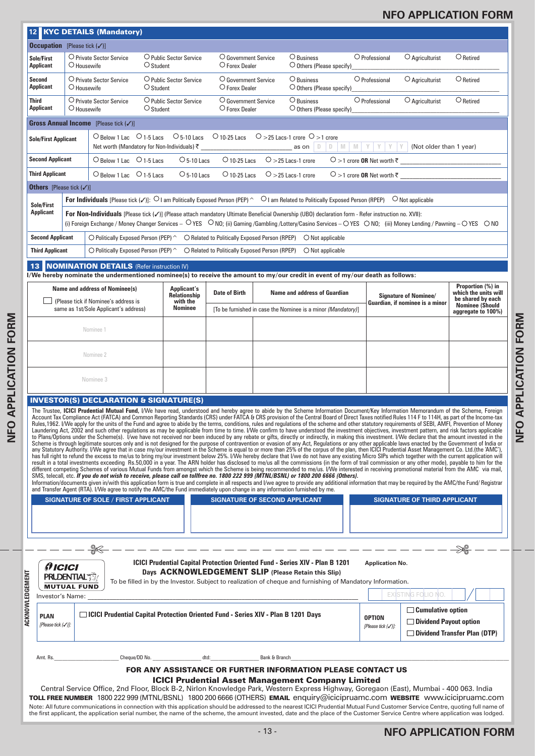| 12.                                             |                                         | <b>KYC DETAILS (Mandatory)</b>                                                                                                                                                                                                                                                                           |                                                     |                                                                                                                                                                    |                                                                                                                                                               |  |                                                    |                                    |                                                                                                                                  |                              |                                       |                                                                                                                                                                                                                                                                                                                                                                                                                                                                                                                                                                                                                                                                                                                                                                                                                                                                                                                                                                                                                                                                                                                                                                                                                                                                                                                                                                                                                                                                                                                                                                                                                                                                                                                                                                                                                                                                                                                                                                                                                                                                                                                                                                                                                                                          |  |  |
|-------------------------------------------------|-----------------------------------------|----------------------------------------------------------------------------------------------------------------------------------------------------------------------------------------------------------------------------------------------------------------------------------------------------------|-----------------------------------------------------|--------------------------------------------------------------------------------------------------------------------------------------------------------------------|---------------------------------------------------------------------------------------------------------------------------------------------------------------|--|----------------------------------------------------|------------------------------------|----------------------------------------------------------------------------------------------------------------------------------|------------------------------|---------------------------------------|----------------------------------------------------------------------------------------------------------------------------------------------------------------------------------------------------------------------------------------------------------------------------------------------------------------------------------------------------------------------------------------------------------------------------------------------------------------------------------------------------------------------------------------------------------------------------------------------------------------------------------------------------------------------------------------------------------------------------------------------------------------------------------------------------------------------------------------------------------------------------------------------------------------------------------------------------------------------------------------------------------------------------------------------------------------------------------------------------------------------------------------------------------------------------------------------------------------------------------------------------------------------------------------------------------------------------------------------------------------------------------------------------------------------------------------------------------------------------------------------------------------------------------------------------------------------------------------------------------------------------------------------------------------------------------------------------------------------------------------------------------------------------------------------------------------------------------------------------------------------------------------------------------------------------------------------------------------------------------------------------------------------------------------------------------------------------------------------------------------------------------------------------------------------------------------------------------------------------------------------------------|--|--|
| <b>Occupation</b> [Please tick $(\checkmark)$ ] |                                         |                                                                                                                                                                                                                                                                                                          |                                                     |                                                                                                                                                                    |                                                                                                                                                               |  |                                                    |                                    |                                                                                                                                  |                              |                                       |                                                                                                                                                                                                                                                                                                                                                                                                                                                                                                                                                                                                                                                                                                                                                                                                                                                                                                                                                                                                                                                                                                                                                                                                                                                                                                                                                                                                                                                                                                                                                                                                                                                                                                                                                                                                                                                                                                                                                                                                                                                                                                                                                                                                                                                          |  |  |
| Sole/First<br><b>Applicant</b>                  | $\cup$ Housewife                        | $\circlearrowright$ Private Sector Service                                                                                                                                                                                                                                                               | $\bigcirc$ Public Sector Service<br>$\circ$ Student |                                                                                                                                                                    | $\bigcirc$ Government Service<br>$\circlearrowright$ Forex Dealer                                                                                             |  | $\circ$ Business                                   | $\bigcirc$ Others (Please specify) | $\circ$ Professional                                                                                                             |                              | $\bigcirc$ Agriculturist              | $\bigcirc$ Retired                                                                                                                                                                                                                                                                                                                                                                                                                                                                                                                                                                                                                                                                                                                                                                                                                                                                                                                                                                                                                                                                                                                                                                                                                                                                                                                                                                                                                                                                                                                                                                                                                                                                                                                                                                                                                                                                                                                                                                                                                                                                                                                                                                                                                                       |  |  |
| Second<br><b>Applicant</b>                      | O Housewife                             | $\circlearrowright$ Private Sector Service                                                                                                                                                                                                                                                               | $\bigcirc$ Public Sector Service<br>$\cup$ Student  |                                                                                                                                                                    | $\circ$ Government Service<br>$\circlearrowright$ Forex Dealer                                                                                                |  | $\circ$ Business                                   | $\bigcirc$ Others (Please specify) | $\bigcirc$ Professional                                                                                                          |                              | $\bigcirc$ Agriculturist              | $\bigcirc$ Retired                                                                                                                                                                                                                                                                                                                                                                                                                                                                                                                                                                                                                                                                                                                                                                                                                                                                                                                                                                                                                                                                                                                                                                                                                                                                                                                                                                                                                                                                                                                                                                                                                                                                                                                                                                                                                                                                                                                                                                                                                                                                                                                                                                                                                                       |  |  |
| Third<br>Applicant                              | $\circlearrowright$ Housewife           | $\bigcirc$ Private Sector Service                                                                                                                                                                                                                                                                        | $\bigcirc$ Student                                  | $\bigcirc$ Public Sector Service<br>$\bigcirc$ Business<br>$\bigcirc$ Government Service<br>$\circlearrowright$ Forex Dealer<br>$\bigcirc$ Others (Please specify) |                                                                                                                                                               |  |                                                    |                                    | $\bigcirc$ Professional                                                                                                          |                              | $\bigcirc$ Agriculturist              | $\bigcirc$ Retired                                                                                                                                                                                                                                                                                                                                                                                                                                                                                                                                                                                                                                                                                                                                                                                                                                                                                                                                                                                                                                                                                                                                                                                                                                                                                                                                                                                                                                                                                                                                                                                                                                                                                                                                                                                                                                                                                                                                                                                                                                                                                                                                                                                                                                       |  |  |
|                                                 |                                         | Gross Annual Income [Please tick (/)]                                                                                                                                                                                                                                                                    |                                                     |                                                                                                                                                                    |                                                                                                                                                               |  |                                                    |                                    |                                                                                                                                  |                              |                                       |                                                                                                                                                                                                                                                                                                                                                                                                                                                                                                                                                                                                                                                                                                                                                                                                                                                                                                                                                                                                                                                                                                                                                                                                                                                                                                                                                                                                                                                                                                                                                                                                                                                                                                                                                                                                                                                                                                                                                                                                                                                                                                                                                                                                                                                          |  |  |
| <b>Sole/First Applicant</b>                     |                                         | $\circ$ Below 1 Lac $\circ$ 1-5 Lacs<br>Net worth (Mandatory for Non-Individuals) ₹                                                                                                                                                                                                                      |                                                     | $\circ$ 5-10 Lacs                                                                                                                                                  | $\bigcirc$ 10-25 Lacs $\bigcirc$ > 25 Lacs-1 crore $\bigcirc$ > 1 crore                                                                                       |  |                                                    |                                    |                                                                                                                                  |                              | (Not older than 1 year)               |                                                                                                                                                                                                                                                                                                                                                                                                                                                                                                                                                                                                                                                                                                                                                                                                                                                                                                                                                                                                                                                                                                                                                                                                                                                                                                                                                                                                                                                                                                                                                                                                                                                                                                                                                                                                                                                                                                                                                                                                                                                                                                                                                                                                                                                          |  |  |
| <b>Second Applicant</b>                         |                                         | $\bigcirc$ Below 1 Lac $\bigcirc$ 1-5 Lacs                                                                                                                                                                                                                                                               |                                                     | $\circ$ 5-10 Lacs                                                                                                                                                  |                                                                                                                                                               |  | $\bigcirc$ 10-25 Lacs $\bigcirc$ > 25 Lacs-1 crore |                                    |                                                                                                                                  |                              | ○ > 1 crore OR Net worth $\bar{\tau}$ |                                                                                                                                                                                                                                                                                                                                                                                                                                                                                                                                                                                                                                                                                                                                                                                                                                                                                                                                                                                                                                                                                                                                                                                                                                                                                                                                                                                                                                                                                                                                                                                                                                                                                                                                                                                                                                                                                                                                                                                                                                                                                                                                                                                                                                                          |  |  |
| <b>Third Applicant</b>                          |                                         | $\circ$ Below 1 Lac $\circ$ 1-5 Lacs                                                                                                                                                                                                                                                                     |                                                     | $\circ$ 5-10 Lacs                                                                                                                                                  |                                                                                                                                                               |  | $\bigcirc$ 10-25 Lacs $\bigcirc$ > 25 Lacs-1 crore |                                    | $\bigcirc$ >1 crore OR Net worth ₹                                                                                               |                              |                                       |                                                                                                                                                                                                                                                                                                                                                                                                                                                                                                                                                                                                                                                                                                                                                                                                                                                                                                                                                                                                                                                                                                                                                                                                                                                                                                                                                                                                                                                                                                                                                                                                                                                                                                                                                                                                                                                                                                                                                                                                                                                                                                                                                                                                                                                          |  |  |
| <b>Others</b> [Please tick $(\checkmark)$ ]     |                                         |                                                                                                                                                                                                                                                                                                          |                                                     |                                                                                                                                                                    |                                                                                                                                                               |  |                                                    |                                    |                                                                                                                                  |                              |                                       |                                                                                                                                                                                                                                                                                                                                                                                                                                                                                                                                                                                                                                                                                                                                                                                                                                                                                                                                                                                                                                                                                                                                                                                                                                                                                                                                                                                                                                                                                                                                                                                                                                                                                                                                                                                                                                                                                                                                                                                                                                                                                                                                                                                                                                                          |  |  |
| Sole/First                                      |                                         | For Individuals [Please tick ( $\checkmark$ )]: $\circ$ I am Politically Exposed Person (PEP) $\sim$ 0 I am Related to Politically Exposed Person (RPEP) 0 Not applicable                                                                                                                                |                                                     |                                                                                                                                                                    |                                                                                                                                                               |  |                                                    |                                    |                                                                                                                                  |                              |                                       |                                                                                                                                                                                                                                                                                                                                                                                                                                                                                                                                                                                                                                                                                                                                                                                                                                                                                                                                                                                                                                                                                                                                                                                                                                                                                                                                                                                                                                                                                                                                                                                                                                                                                                                                                                                                                                                                                                                                                                                                                                                                                                                                                                                                                                                          |  |  |
| <b>Applicant</b>                                |                                         | For Non-Individuals [Please tick ( $\checkmark$ )] (Please attach mandatory Ultimate Beneficial Ownership (UBO) declaration form - Refer instruction no. XVII):                                                                                                                                          |                                                     |                                                                                                                                                                    |                                                                                                                                                               |  |                                                    |                                    |                                                                                                                                  |                              |                                       | (i) Foreign Exchange / Money Changer Services - $\circ$ YES $\circ$ NO; (ii) Gaming /Gambling /Lottery/Casino Services - O YES $\circ$ NO; (iii) Money Lending / Pawning - O YES $\circ$ NO                                                                                                                                                                                                                                                                                                                                                                                                                                                                                                                                                                                                                                                                                                                                                                                                                                                                                                                                                                                                                                                                                                                                                                                                                                                                                                                                                                                                                                                                                                                                                                                                                                                                                                                                                                                                                                                                                                                                                                                                                                                              |  |  |
| <b>Second Applicant</b>                         |                                         | $\bigcirc$ Politically Exposed Person (PEP) $\hat{ }$ $\circ$ Related to Politically Exposed Person (RPEP)                                                                                                                                                                                               |                                                     |                                                                                                                                                                    |                                                                                                                                                               |  |                                                    | $\bigcirc$ Not applicable          |                                                                                                                                  |                              |                                       |                                                                                                                                                                                                                                                                                                                                                                                                                                                                                                                                                                                                                                                                                                                                                                                                                                                                                                                                                                                                                                                                                                                                                                                                                                                                                                                                                                                                                                                                                                                                                                                                                                                                                                                                                                                                                                                                                                                                                                                                                                                                                                                                                                                                                                                          |  |  |
| <b>Third Applicant</b>                          |                                         | $\bigcirc$ Politically Exposed Person (PEP) $\hat{ }$ $\circ$ Related to Politically Exposed Person (RPEP)                                                                                                                                                                                               |                                                     |                                                                                                                                                                    |                                                                                                                                                               |  |                                                    | $\bigcirc$ Not applicable          |                                                                                                                                  |                              |                                       |                                                                                                                                                                                                                                                                                                                                                                                                                                                                                                                                                                                                                                                                                                                                                                                                                                                                                                                                                                                                                                                                                                                                                                                                                                                                                                                                                                                                                                                                                                                                                                                                                                                                                                                                                                                                                                                                                                                                                                                                                                                                                                                                                                                                                                                          |  |  |
|                                                 |                                         | <b>NOMINATION DETAILS</b> (Refer instruction IV)                                                                                                                                                                                                                                                         |                                                     |                                                                                                                                                                    |                                                                                                                                                               |  |                                                    |                                    |                                                                                                                                  |                              |                                       |                                                                                                                                                                                                                                                                                                                                                                                                                                                                                                                                                                                                                                                                                                                                                                                                                                                                                                                                                                                                                                                                                                                                                                                                                                                                                                                                                                                                                                                                                                                                                                                                                                                                                                                                                                                                                                                                                                                                                                                                                                                                                                                                                                                                                                                          |  |  |
|                                                 |                                         | I/We hereby nominate the undermentioned nominee(s) to receive the amount to my/our credit in event of my/our death as follows:                                                                                                                                                                           |                                                     |                                                                                                                                                                    |                                                                                                                                                               |  |                                                    |                                    |                                                                                                                                  |                              |                                       |                                                                                                                                                                                                                                                                                                                                                                                                                                                                                                                                                                                                                                                                                                                                                                                                                                                                                                                                                                                                                                                                                                                                                                                                                                                                                                                                                                                                                                                                                                                                                                                                                                                                                                                                                                                                                                                                                                                                                                                                                                                                                                                                                                                                                                                          |  |  |
|                                                 |                                         | Name and address of Nominee(s)<br>(Please tick if Nominee's address is                                                                                                                                                                                                                                   |                                                     | Applicant's<br><b>Relationship</b><br>with the                                                                                                                     | <b>Date of Birth</b>                                                                                                                                          |  |                                                    | Name and address of Guardian       |                                                                                                                                  | <b>Signature of Nominee/</b> | Guardian, if nominee is a minor       | Proportion (%) in<br>which the units will<br>be shared by each                                                                                                                                                                                                                                                                                                                                                                                                                                                                                                                                                                                                                                                                                                                                                                                                                                                                                                                                                                                                                                                                                                                                                                                                                                                                                                                                                                                                                                                                                                                                                                                                                                                                                                                                                                                                                                                                                                                                                                                                                                                                                                                                                                                           |  |  |
|                                                 |                                         | same as 1st/Sole Applicant's address)                                                                                                                                                                                                                                                                    |                                                     | Nominee                                                                                                                                                            | [To be furnished in case the Nominee is a minor (Mandatory)]                                                                                                  |  |                                                    |                                    |                                                                                                                                  |                              |                                       | <b>Nominee (Should</b><br>aggregate to 100%)                                                                                                                                                                                                                                                                                                                                                                                                                                                                                                                                                                                                                                                                                                                                                                                                                                                                                                                                                                                                                                                                                                                                                                                                                                                                                                                                                                                                                                                                                                                                                                                                                                                                                                                                                                                                                                                                                                                                                                                                                                                                                                                                                                                                             |  |  |
| Nominee 1                                       |                                         |                                                                                                                                                                                                                                                                                                          |                                                     |                                                                                                                                                                    |                                                                                                                                                               |  |                                                    |                                    |                                                                                                                                  |                              |                                       |                                                                                                                                                                                                                                                                                                                                                                                                                                                                                                                                                                                                                                                                                                                                                                                                                                                                                                                                                                                                                                                                                                                                                                                                                                                                                                                                                                                                                                                                                                                                                                                                                                                                                                                                                                                                                                                                                                                                                                                                                                                                                                                                                                                                                                                          |  |  |
|                                                 |                                         | Nominee 2                                                                                                                                                                                                                                                                                                |                                                     |                                                                                                                                                                    |                                                                                                                                                               |  |                                                    |                                    |                                                                                                                                  |                              |                                       |                                                                                                                                                                                                                                                                                                                                                                                                                                                                                                                                                                                                                                                                                                                                                                                                                                                                                                                                                                                                                                                                                                                                                                                                                                                                                                                                                                                                                                                                                                                                                                                                                                                                                                                                                                                                                                                                                                                                                                                                                                                                                                                                                                                                                                                          |  |  |
|                                                 |                                         | Nominee 3                                                                                                                                                                                                                                                                                                |                                                     |                                                                                                                                                                    |                                                                                                                                                               |  |                                                    |                                    |                                                                                                                                  |                              |                                       |                                                                                                                                                                                                                                                                                                                                                                                                                                                                                                                                                                                                                                                                                                                                                                                                                                                                                                                                                                                                                                                                                                                                                                                                                                                                                                                                                                                                                                                                                                                                                                                                                                                                                                                                                                                                                                                                                                                                                                                                                                                                                                                                                                                                                                                          |  |  |
|                                                 |                                         | <b>INVESTOR(S) DECLARATION &amp; SIGNATURE(S)</b>                                                                                                                                                                                                                                                        |                                                     |                                                                                                                                                                    |                                                                                                                                                               |  |                                                    |                                    |                                                                                                                                  |                              |                                       |                                                                                                                                                                                                                                                                                                                                                                                                                                                                                                                                                                                                                                                                                                                                                                                                                                                                                                                                                                                                                                                                                                                                                                                                                                                                                                                                                                                                                                                                                                                                                                                                                                                                                                                                                                                                                                                                                                                                                                                                                                                                                                                                                                                                                                                          |  |  |
|                                                 |                                         | SMS, telecall, etc. If you do not wish to receive, please call on tollfree no. 1800 222 999 (MTNL/BSNL) or 1800 200 6666 (Others).<br>and Transfer Agent (RTA). I/We agree to notify the AMC/the Fund immediately upon change in any information furnished by me.<br>SIGNATURE OF SOLE / FIRST APPLICANT |                                                     |                                                                                                                                                                    | <b>SIGNATURE OF SECOND APPLICANT</b>                                                                                                                          |  |                                                    |                                    |                                                                                                                                  |                              | <b>SIGNATURE OF THIRD APPLICANT</b>   | The Trustee, ICICI Prudential Mutual Fund, I/We have read, understood and hereby agree to abide by the Scheme Information Document/Key Information Memorandum of the Scheme, Foreign<br>Account Tax Compliance Act (FATCA) and Common Reporting Standards (CRS) under FATCA & CRS provision of the Central Board of Direct Taxes notified Rules 114 F to 114H, as part of the Income-tax<br>Rules, 1962. I/We apply for the units of the Fund and agree to abide by the terms, conditions, rules and regulations of the scheme and other statutory requirements of SEBI, AMFI, Prevention of Money<br>Laundering Act, 2002 and such other regulations as may be applicable from time to time. I/We confirm to have understood the investment objectives, investment pattern, and risk factors applicable<br>to Plans/Options under the Scheme(s). I/we have not received nor been induced by any rebate or gifts, directly or indirectly, in making this investment. I/We declare that the amount invested in the<br>Scheme is through legitimate sources only and is not designed for the purpose of contravention or evasion of any Act, Regulations or any other applicable laws enacted by the Government of India or<br>any Statutory Authority. I/We agree that in case my/our investment in the Scheme is equal to or more than 25% of the corpus of the plan, then ICICI Prudential Asset Management Co. Ltd.(the 'AMC'),<br>has full right to refund the excess to me/us to bring my/our investment below 25%. I/We hereby declare that I/we do not have any existing Micro SIPs which together with the current application will<br>result in a total investments exceeding Rs.50,000 in a year. The ARN holder has disclosed to me/us all the commissions (in the form of trail commission or any other mode), payable to him for the<br>different competing Schemes of various Mutual Funds from amongst which the Scheme is being recommended to me/us. I/We interested in receiving promotional material from the AMC via mail,<br>Information/documents given in/with this application form is true and complete in all respects and I/we agree to provide any additional information that may be required by the AMC/the Fund/ Registrar |  |  |
|                                                 |                                         |                                                                                                                                                                                                                                                                                                          |                                                     |                                                                                                                                                                    |                                                                                                                                                               |  |                                                    |                                    |                                                                                                                                  |                              |                                       |                                                                                                                                                                                                                                                                                                                                                                                                                                                                                                                                                                                                                                                                                                                                                                                                                                                                                                                                                                                                                                                                                                                                                                                                                                                                                                                                                                                                                                                                                                                                                                                                                                                                                                                                                                                                                                                                                                                                                                                                                                                                                                                                                                                                                                                          |  |  |
| <i><b>AICICI</b></i><br>ACKNOWLEDGEMENT         |                                         |                                                                                                                                                                                                                                                                                                          |                                                     |                                                                                                                                                                    | ---------------<br><b>ICICI Prudential Capital Protection Oriented Fund - Series XIV - Plan B 1201</b><br>Days ACKNOWLEDGEMENT SLIP (Please Retain this Slip) |  |                                                    |                                    |                                                                                                                                  | <b>Application No.</b>       |                                       |                                                                                                                                                                                                                                                                                                                                                                                                                                                                                                                                                                                                                                                                                                                                                                                                                                                                                                                                                                                                                                                                                                                                                                                                                                                                                                                                                                                                                                                                                                                                                                                                                                                                                                                                                                                                                                                                                                                                                                                                                                                                                                                                                                                                                                                          |  |  |
|                                                 | <b>PRUDENTIAL</b><br><b>MUTUAL FUND</b> |                                                                                                                                                                                                                                                                                                          |                                                     |                                                                                                                                                                    | To be filled in by the Investor. Subject to realization of cheque and furnishing of Mandatory Information.                                                    |  |                                                    |                                    |                                                                                                                                  |                              |                                       |                                                                                                                                                                                                                                                                                                                                                                                                                                                                                                                                                                                                                                                                                                                                                                                                                                                                                                                                                                                                                                                                                                                                                                                                                                                                                                                                                                                                                                                                                                                                                                                                                                                                                                                                                                                                                                                                                                                                                                                                                                                                                                                                                                                                                                                          |  |  |
|                                                 | EXISTING FOLIO NO.<br>Investor's Name:  |                                                                                                                                                                                                                                                                                                          |                                                     |                                                                                                                                                                    |                                                                                                                                                               |  |                                                    |                                    |                                                                                                                                  |                              |                                       |                                                                                                                                                                                                                                                                                                                                                                                                                                                                                                                                                                                                                                                                                                                                                                                                                                                                                                                                                                                                                                                                                                                                                                                                                                                                                                                                                                                                                                                                                                                                                                                                                                                                                                                                                                                                                                                                                                                                                                                                                                                                                                                                                                                                                                                          |  |  |
| <b>PLAN</b><br>[Please tick (/)]:               |                                         | □ ICICI Prudential Capital Protection Oriented Fund - Series XIV - Plan B 1201 Days                                                                                                                                                                                                                      |                                                     |                                                                                                                                                                    |                                                                                                                                                               |  |                                                    |                                    | $\Box$ Cumulative option<br><b>OPTION</b><br>$\Box$ Dividend Payout option<br>[Please tick (/)]:<br>Dividend Transfer Plan (DTP) |                              |                                       |                                                                                                                                                                                                                                                                                                                                                                                                                                                                                                                                                                                                                                                                                                                                                                                                                                                                                                                                                                                                                                                                                                                                                                                                                                                                                                                                                                                                                                                                                                                                                                                                                                                                                                                                                                                                                                                                                                                                                                                                                                                                                                                                                                                                                                                          |  |  |
|                                                 |                                         |                                                                                                                                                                                                                                                                                                          |                                                     |                                                                                                                                                                    |                                                                                                                                                               |  |                                                    |                                    |                                                                                                                                  |                              |                                       |                                                                                                                                                                                                                                                                                                                                                                                                                                                                                                                                                                                                                                                                                                                                                                                                                                                                                                                                                                                                                                                                                                                                                                                                                                                                                                                                                                                                                                                                                                                                                                                                                                                                                                                                                                                                                                                                                                                                                                                                                                                                                                                                                                                                                                                          |  |  |
| Amt. Rs.                                        |                                         | Central Service Office, 2nd Floor, Block B-2, Nirlon Knowledge Park, Western Express Highway, Goregaon (East), Mumbai - 400 063. India                                                                                                                                                                   |                                                     |                                                                                                                                                                    | Cheque/DD No. 4td: 6 ank & Branch<br>FOR ANY ASSISTANCE OR FURTHER INFORMATION PLEASE CONTACT US<br><b>ICICI Prudential Asset Management Company Limited</b>  |  |                                                    |                                    |                                                                                                                                  |                              |                                       | TOLL FREE NUMBER 1800 222 999 (MTNL/BSNL) 1800 200 6666 (OTHERS) EMAIL enquiry@icicipruamc.com WEBSITE www.icicipruamc.com<br>Note: All future communications in connection with this application should be addressed to the nearest ICICI Prudential Mutual Fund Customer Service Centre, quoting full name of<br>the first applicant, the application serial number, the name of the scheme, the amount invested, date and the place of the Customer Service Centre where application was lodged.                                                                                                                                                                                                                                                                                                                                                                                                                                                                                                                                                                                                                                                                                                                                                                                                                                                                                                                                                                                                                                                                                                                                                                                                                                                                                                                                                                                                                                                                                                                                                                                                                                                                                                                                                      |  |  |

**NFO APPLICATION FORM**

NFO APPLICATION FORM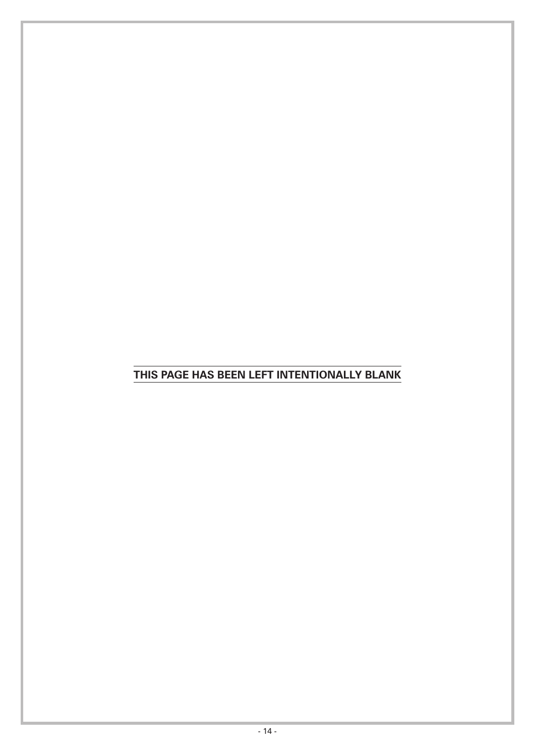# **THIS PAGE HAS BEEN LEFT INTENTIONALLY BLANK**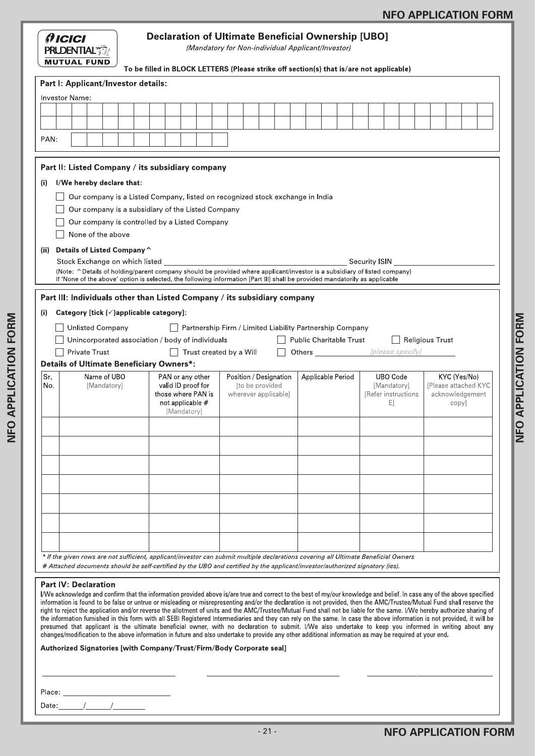| <b>AICICI</b>      |  |
|--------------------|--|
| <b>PRUDENTIAL</b>  |  |
| <b>MUTUAL FUND</b> |  |

**NFO APPLICATION FORM**

Date:

NFO APPLICATION FORM

### **Declaration of Ultimate Beneficial Ownership [UBO]**

(Mandatory for Non-individual Applicant/Investor)

filled in BLOCK LETTERS (Bleese strike off costion(s) that is (are not condizable)

|                                                                                                                                                                                                                                                                                                                                                                                                                                                                                                                                                                                                                                                                                                                                                                                                                                                                                                                                                                                                                                                             |                                                                                                                                                                                                                                                         |             |  |  |  |             | TO be fined in BLOCK LETTERS (Flease strike on section(s) that is/are not applicable) |  |  |                                         |  |  |                   |                      |                   |  |                                                  |  |  |
|-------------------------------------------------------------------------------------------------------------------------------------------------------------------------------------------------------------------------------------------------------------------------------------------------------------------------------------------------------------------------------------------------------------------------------------------------------------------------------------------------------------------------------------------------------------------------------------------------------------------------------------------------------------------------------------------------------------------------------------------------------------------------------------------------------------------------------------------------------------------------------------------------------------------------------------------------------------------------------------------------------------------------------------------------------------|---------------------------------------------------------------------------------------------------------------------------------------------------------------------------------------------------------------------------------------------------------|-------------|--|--|--|-------------|---------------------------------------------------------------------------------------|--|--|-----------------------------------------|--|--|-------------------|----------------------|-------------------|--|--------------------------------------------------|--|--|
|                                                                                                                                                                                                                                                                                                                                                                                                                                                                                                                                                                                                                                                                                                                                                                                                                                                                                                                                                                                                                                                             | Part I: Applicant/Investor details:                                                                                                                                                                                                                     |             |  |  |  |             |                                                                                       |  |  |                                         |  |  |                   |                      |                   |  |                                                  |  |  |
|                                                                                                                                                                                                                                                                                                                                                                                                                                                                                                                                                                                                                                                                                                                                                                                                                                                                                                                                                                                                                                                             | <b>Investor Name:</b>                                                                                                                                                                                                                                   |             |  |  |  |             |                                                                                       |  |  |                                         |  |  |                   |                      |                   |  |                                                  |  |  |
|                                                                                                                                                                                                                                                                                                                                                                                                                                                                                                                                                                                                                                                                                                                                                                                                                                                                                                                                                                                                                                                             |                                                                                                                                                                                                                                                         |             |  |  |  |             |                                                                                       |  |  |                                         |  |  |                   |                      |                   |  |                                                  |  |  |
| PAN:                                                                                                                                                                                                                                                                                                                                                                                                                                                                                                                                                                                                                                                                                                                                                                                                                                                                                                                                                                                                                                                        |                                                                                                                                                                                                                                                         |             |  |  |  |             |                                                                                       |  |  |                                         |  |  |                   |                      |                   |  |                                                  |  |  |
|                                                                                                                                                                                                                                                                                                                                                                                                                                                                                                                                                                                                                                                                                                                                                                                                                                                                                                                                                                                                                                                             |                                                                                                                                                                                                                                                         |             |  |  |  |             |                                                                                       |  |  |                                         |  |  |                   |                      |                   |  |                                                  |  |  |
|                                                                                                                                                                                                                                                                                                                                                                                                                                                                                                                                                                                                                                                                                                                                                                                                                                                                                                                                                                                                                                                             | Part II: Listed Company / its subsidiary company                                                                                                                                                                                                        |             |  |  |  |             |                                                                                       |  |  |                                         |  |  |                   |                      |                   |  |                                                  |  |  |
| (i)                                                                                                                                                                                                                                                                                                                                                                                                                                                                                                                                                                                                                                                                                                                                                                                                                                                                                                                                                                                                                                                         | I/We hereby declare that:                                                                                                                                                                                                                               |             |  |  |  |             |                                                                                       |  |  |                                         |  |  |                   |                      |                   |  |                                                  |  |  |
|                                                                                                                                                                                                                                                                                                                                                                                                                                                                                                                                                                                                                                                                                                                                                                                                                                                                                                                                                                                                                                                             | Our company is a Listed Company, listed on recognized stock exchange in India                                                                                                                                                                           |             |  |  |  |             |                                                                                       |  |  |                                         |  |  |                   |                      |                   |  |                                                  |  |  |
|                                                                                                                                                                                                                                                                                                                                                                                                                                                                                                                                                                                                                                                                                                                                                                                                                                                                                                                                                                                                                                                             | Our company is a subsidiary of the Listed Company                                                                                                                                                                                                       |             |  |  |  |             |                                                                                       |  |  |                                         |  |  |                   |                      |                   |  |                                                  |  |  |
|                                                                                                                                                                                                                                                                                                                                                                                                                                                                                                                                                                                                                                                                                                                                                                                                                                                                                                                                                                                                                                                             | Our company is controlled by a Listed Company                                                                                                                                                                                                           |             |  |  |  |             |                                                                                       |  |  |                                         |  |  |                   |                      |                   |  |                                                  |  |  |
|                                                                                                                                                                                                                                                                                                                                                                                                                                                                                                                                                                                                                                                                                                                                                                                                                                                                                                                                                                                                                                                             | None of the above                                                                                                                                                                                                                                       |             |  |  |  |             |                                                                                       |  |  |                                         |  |  |                   |                      |                   |  |                                                  |  |  |
| (ii)                                                                                                                                                                                                                                                                                                                                                                                                                                                                                                                                                                                                                                                                                                                                                                                                                                                                                                                                                                                                                                                        | Details of Listed Company ^                                                                                                                                                                                                                             |             |  |  |  |             |                                                                                       |  |  |                                         |  |  |                   |                      |                   |  |                                                  |  |  |
|                                                                                                                                                                                                                                                                                                                                                                                                                                                                                                                                                                                                                                                                                                                                                                                                                                                                                                                                                                                                                                                             | Stock Exchange on which listed                                                                                                                                                                                                                          |             |  |  |  |             |                                                                                       |  |  |                                         |  |  |                   | Security ISIN        |                   |  |                                                  |  |  |
|                                                                                                                                                                                                                                                                                                                                                                                                                                                                                                                                                                                                                                                                                                                                                                                                                                                                                                                                                                                                                                                             | (Note: ^Details of holding/parent company should be provided where applicant/investor is a subsidiary of listed company)<br>If 'None of the above' option is selected, the following information [Part III] shall be provided mandatorily as applicable |             |  |  |  |             |                                                                                       |  |  |                                         |  |  |                   |                      |                   |  |                                                  |  |  |
|                                                                                                                                                                                                                                                                                                                                                                                                                                                                                                                                                                                                                                                                                                                                                                                                                                                                                                                                                                                                                                                             | Part III: Individuals other than Listed Company / its subsidiary company                                                                                                                                                                                |             |  |  |  |             |                                                                                       |  |  |                                         |  |  |                   |                      |                   |  |                                                  |  |  |
| (i)                                                                                                                                                                                                                                                                                                                                                                                                                                                                                                                                                                                                                                                                                                                                                                                                                                                                                                                                                                                                                                                         | Category [tick $(\checkmark)$ applicable category]:                                                                                                                                                                                                     |             |  |  |  |             |                                                                                       |  |  |                                         |  |  |                   |                      |                   |  |                                                  |  |  |
|                                                                                                                                                                                                                                                                                                                                                                                                                                                                                                                                                                                                                                                                                                                                                                                                                                                                                                                                                                                                                                                             | <b>Unlisted Company</b>                                                                                                                                                                                                                                 |             |  |  |  |             |                                                                                       |  |  |                                         |  |  |                   |                      |                   |  |                                                  |  |  |
|                                                                                                                                                                                                                                                                                                                                                                                                                                                                                                                                                                                                                                                                                                                                                                                                                                                                                                                                                                                                                                                             | Partnership Firm / Limited Liability Partnership Company<br>Unincorporated association / body of individuals<br><b>Public Charitable Trust</b><br><b>Religious Trust</b>                                                                                |             |  |  |  |             |                                                                                       |  |  |                                         |  |  |                   |                      |                   |  |                                                  |  |  |
|                                                                                                                                                                                                                                                                                                                                                                                                                                                                                                                                                                                                                                                                                                                                                                                                                                                                                                                                                                                                                                                             | [please specify]<br><b>Private Trust</b><br>Trust created by a Will                                                                                                                                                                                     |             |  |  |  |             |                                                                                       |  |  |                                         |  |  |                   |                      |                   |  |                                                  |  |  |
|                                                                                                                                                                                                                                                                                                                                                                                                                                                                                                                                                                                                                                                                                                                                                                                                                                                                                                                                                                                                                                                             | <b>Details of Ultimate Beneficiary Owners*:</b>                                                                                                                                                                                                         |             |  |  |  |             |                                                                                       |  |  |                                         |  |  |                   |                      |                   |  |                                                  |  |  |
| Sr.                                                                                                                                                                                                                                                                                                                                                                                                                                                                                                                                                                                                                                                                                                                                                                                                                                                                                                                                                                                                                                                         | Name of UBO                                                                                                                                                                                                                                             |             |  |  |  |             | PAN or any other                                                                      |  |  | Position / Designation                  |  |  | Applicable Period |                      | <b>UBO Code</b>   |  | KYC (Yes/No)                                     |  |  |
| No.                                                                                                                                                                                                                                                                                                                                                                                                                                                                                                                                                                                                                                                                                                                                                                                                                                                                                                                                                                                                                                                         |                                                                                                                                                                                                                                                         | [Mandatory] |  |  |  | [Mandatory] | valid ID proof for<br>those where PAN is<br>not applicable #                          |  |  | [to be provided<br>wherever applicable] |  |  |                   | [Refer instructions] | [Mandatory]<br>E1 |  | [Please attached KYC<br>acknowledgement<br>copy] |  |  |
|                                                                                                                                                                                                                                                                                                                                                                                                                                                                                                                                                                                                                                                                                                                                                                                                                                                                                                                                                                                                                                                             |                                                                                                                                                                                                                                                         |             |  |  |  |             |                                                                                       |  |  |                                         |  |  |                   |                      |                   |  |                                                  |  |  |
|                                                                                                                                                                                                                                                                                                                                                                                                                                                                                                                                                                                                                                                                                                                                                                                                                                                                                                                                                                                                                                                             |                                                                                                                                                                                                                                                         |             |  |  |  |             |                                                                                       |  |  |                                         |  |  |                   |                      |                   |  |                                                  |  |  |
|                                                                                                                                                                                                                                                                                                                                                                                                                                                                                                                                                                                                                                                                                                                                                                                                                                                                                                                                                                                                                                                             |                                                                                                                                                                                                                                                         |             |  |  |  |             |                                                                                       |  |  |                                         |  |  |                   |                      |                   |  |                                                  |  |  |
|                                                                                                                                                                                                                                                                                                                                                                                                                                                                                                                                                                                                                                                                                                                                                                                                                                                                                                                                                                                                                                                             |                                                                                                                                                                                                                                                         |             |  |  |  |             |                                                                                       |  |  |                                         |  |  |                   |                      |                   |  |                                                  |  |  |
|                                                                                                                                                                                                                                                                                                                                                                                                                                                                                                                                                                                                                                                                                                                                                                                                                                                                                                                                                                                                                                                             |                                                                                                                                                                                                                                                         |             |  |  |  |             |                                                                                       |  |  |                                         |  |  |                   |                      |                   |  |                                                  |  |  |
|                                                                                                                                                                                                                                                                                                                                                                                                                                                                                                                                                                                                                                                                                                                                                                                                                                                                                                                                                                                                                                                             |                                                                                                                                                                                                                                                         |             |  |  |  |             |                                                                                       |  |  |                                         |  |  |                   |                      |                   |  |                                                  |  |  |
|                                                                                                                                                                                                                                                                                                                                                                                                                                                                                                                                                                                                                                                                                                                                                                                                                                                                                                                                                                                                                                                             |                                                                                                                                                                                                                                                         |             |  |  |  |             |                                                                                       |  |  |                                         |  |  |                   |                      |                   |  |                                                  |  |  |
|                                                                                                                                                                                                                                                                                                                                                                                                                                                                                                                                                                                                                                                                                                                                                                                                                                                                                                                                                                                                                                                             |                                                                                                                                                                                                                                                         |             |  |  |  |             |                                                                                       |  |  |                                         |  |  |                   |                      |                   |  |                                                  |  |  |
|                                                                                                                                                                                                                                                                                                                                                                                                                                                                                                                                                                                                                                                                                                                                                                                                                                                                                                                                                                                                                                                             |                                                                                                                                                                                                                                                         |             |  |  |  |             |                                                                                       |  |  |                                         |  |  |                   |                      |                   |  |                                                  |  |  |
|                                                                                                                                                                                                                                                                                                                                                                                                                                                                                                                                                                                                                                                                                                                                                                                                                                                                                                                                                                                                                                                             |                                                                                                                                                                                                                                                         |             |  |  |  |             |                                                                                       |  |  |                                         |  |  |                   |                      |                   |  |                                                  |  |  |
|                                                                                                                                                                                                                                                                                                                                                                                                                                                                                                                                                                                                                                                                                                                                                                                                                                                                                                                                                                                                                                                             | * If the given rows are not sufficient, applicant/investor can submit multiple declarations covering all Ultimate Beneficial Owners                                                                                                                     |             |  |  |  |             |                                                                                       |  |  |                                         |  |  |                   |                      |                   |  |                                                  |  |  |
|                                                                                                                                                                                                                                                                                                                                                                                                                                                                                                                                                                                                                                                                                                                                                                                                                                                                                                                                                                                                                                                             | # Attached documents should be self-certified by the UBO and certified by the applicant/investor/authorized signatory (ies).                                                                                                                            |             |  |  |  |             |                                                                                       |  |  |                                         |  |  |                   |                      |                   |  |                                                  |  |  |
| <b>Part IV: Declaration</b><br>I/We acknowledge and confirm that the information provided above is/are true and correct to the best of my/our knowledge and belief. In case any of the above specified<br>information is found to be false or untrue or misleading or misrepresenting and/or the declaration is not provided, then the AMC/Trustee/Mutual Fund shall reserve the<br>right to reject the application and/or reverse the allotment of units and the AMC/Trustee/Mutual Fund shall not be liable for the same. I/We hereby authorize sharing of<br>the information furnished in this form with all SEBI Registered Intermediaries and they can rely on the same. In case the above information is not provided, it will be<br>presumed that applicant is the ultimate beneficial owner, with no declaration to submit. I/We also undertake to keep you informed in writing about any<br>changes/modification to the above information in future and also undertake to provide any other additional information as may be required at your end. |                                                                                                                                                                                                                                                         |             |  |  |  |             |                                                                                       |  |  |                                         |  |  |                   |                      |                   |  |                                                  |  |  |
|                                                                                                                                                                                                                                                                                                                                                                                                                                                                                                                                                                                                                                                                                                                                                                                                                                                                                                                                                                                                                                                             | Authorized Signatories [with Company/Trust/Firm/Body Corporate seal]                                                                                                                                                                                    |             |  |  |  |             |                                                                                       |  |  |                                         |  |  |                   |                      |                   |  |                                                  |  |  |
|                                                                                                                                                                                                                                                                                                                                                                                                                                                                                                                                                                                                                                                                                                                                                                                                                                                                                                                                                                                                                                                             |                                                                                                                                                                                                                                                         |             |  |  |  |             |                                                                                       |  |  |                                         |  |  |                   |                      |                   |  |                                                  |  |  |
|                                                                                                                                                                                                                                                                                                                                                                                                                                                                                                                                                                                                                                                                                                                                                                                                                                                                                                                                                                                                                                                             |                                                                                                                                                                                                                                                         |             |  |  |  |             |                                                                                       |  |  |                                         |  |  |                   |                      |                   |  |                                                  |  |  |
| Place:                                                                                                                                                                                                                                                                                                                                                                                                                                                                                                                                                                                                                                                                                                                                                                                                                                                                                                                                                                                                                                                      |                                                                                                                                                                                                                                                         |             |  |  |  |             |                                                                                       |  |  |                                         |  |  |                   |                      |                   |  |                                                  |  |  |

**NFO APPLICATION FORM**

**NFO APPLICATION FORM**